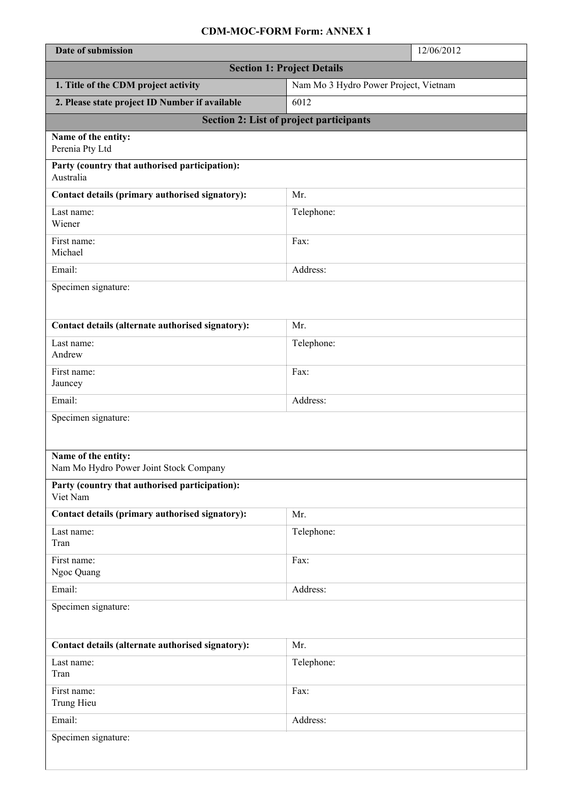## **CDM-MOC-FORM Form: ANNEX 1**

| Date of submission                                            | 12/06/2012                            |  |
|---------------------------------------------------------------|---------------------------------------|--|
| <b>Section 1: Project Details</b>                             |                                       |  |
| 1. Title of the CDM project activity                          | Nam Mo 3 Hydro Power Project, Vietnam |  |
| 2. Please state project ID Number if available                | 6012                                  |  |
| Section 2: List of project participants                       |                                       |  |
| Name of the entity:<br>Perenia Pty Ltd                        |                                       |  |
| Party (country that authorised participation):<br>Australia   |                                       |  |
| Contact details (primary authorised signatory):               | Mr.                                   |  |
| Last name:<br>Wiener                                          | Telephone:                            |  |
| First name:<br>Michael                                        | Fax:                                  |  |
| Email:                                                        | Address:                              |  |
| Specimen signature:                                           |                                       |  |
| Contact details (alternate authorised signatory):             | Mr.                                   |  |
| Last name:<br>Andrew                                          | Telephone:                            |  |
| First name:<br>Jauncey                                        | Fax:                                  |  |
| Email:                                                        | Address:                              |  |
| Specimen signature:                                           |                                       |  |
| Name of the entity:<br>Nam Mo Hydro Power Joint Stock Company |                                       |  |
| Party (country that authorised participation):<br>Viet Nam    |                                       |  |
| Contact details (primary authorised signatory):               | Mr.                                   |  |
| Last name:<br>Tran                                            | Telephone:                            |  |
| First name:<br>Ngoc Quang                                     | Fax:                                  |  |
| Email:                                                        | Address:                              |  |
| Specimen signature:                                           |                                       |  |
| Contact details (alternate authorised signatory):             | Mr.                                   |  |
| Last name:<br>Tran                                            | Telephone:                            |  |
| First name:<br>Trung Hieu                                     | Fax:                                  |  |
| Email:                                                        | Address:                              |  |
| Specimen signature:                                           |                                       |  |